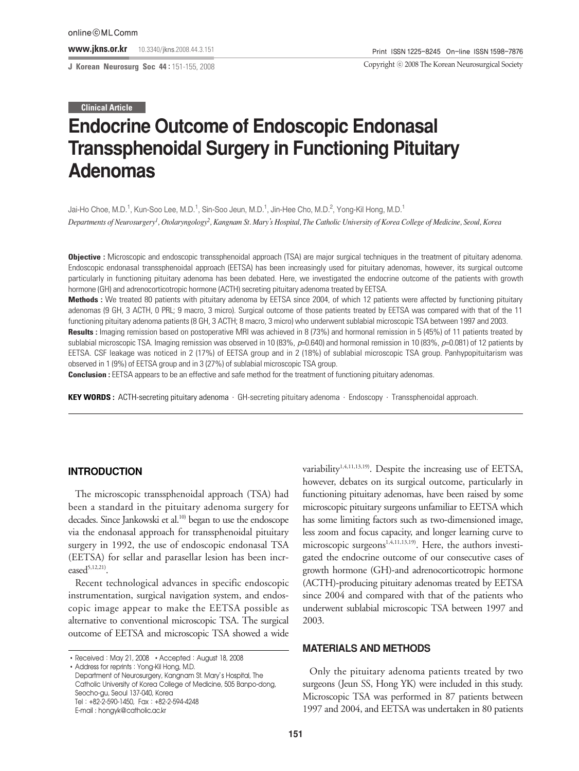**J Korean Neurosurg Soc 44 :** 151-155, 2008

Copyright ⓒ 2008 The Korean Neurosurgical Society

#### **Clinical Article**

# **Endocrine Outcome of Endoscopic Endonasal Transsphenoidal Surgery in Functioning Pituitary Adenomas**

Jai-Ho Choe, M.D.<sup>1</sup>, Kun-Soo Lee, M.D.<sup>1</sup>, Sin-Soo Jeun, M.D.<sup>1</sup>, Jin-Hee Cho, M.D.<sup>2</sup>, Yong-Kil Hong, M.D.<sup>1</sup> *Departments of Neurosurgery1 , Otolaryngology2 , Kangnam St. Mary*'*s Hospital, The Catholic University of Korea College of Medicine, Seoul, Korea*

**Objective :** Microscopic and endoscopic transsphenoidal approach (TSA) are major surgical techniques in the treatment of pituitary adenoma. Endoscopic endonasal transsphenoidal approach (EETSA) has been increasingly used for pituitary adenomas, however, its surgical outcome particularly in functioning pituitary adenoma has been debated. Here, we investigated the endocrine outcome of the patients with growth hormone (GH) and adrenocorticotropic hormone (ACTH) secreting pituitary adenoma treated by EETSA.

**Methods :** We treated 80 patients with pituitary adenoma by EETSA since 2004, of which 12 patients were affected by functioning pituitary adenomas (9 GH, 3 ACTH, 0 PRL; 9 macro, 3 micro). Surgical outcome of those patients treated by EETSA was compared with that of the 11 functioning pituitary adenoma patients (8 GH, 3 ACTH; 8 macro, 3 micro) who underwent sublabial microscopic TSA between 1997 and 2003.

Results : Imaging remission based on postoperative MRI was achieved in 8 (73%) and hormonal remission in 5 (45%) of 11 patients treated by sublabial microscopic TSA. Imaging remission was observed in 10 (83%, *p*=0.640) and hormonal remission in 10 (83%, *p*=0.081) of 12 patients by EETSA. CSF leakage was noticed in 2 (17%) of EETSA group and in 2 (18%) of sublabial microscopic TSA group. Panhypopituitarism was observed in 1 (9%) of EETSA group and in 3 (27%) of sublabial microscopic TSA group.

**Conclusion :** EETSA appears to be an effective and safe method for the treatment of functioning pituitary adenomas.

**KEY WORDS :** ACTH-secreting pituitary adenoma·GH-secreting pituitary adenoma·Endoscopy·Transsphenoidal approach.

## **INTRODUCTION**

The microscopic transsphenoidal approach (TSA) had been a standard in the pituitary adenoma surgery for decades. Since Jankowski et al.<sup>10)</sup> began to use the endoscope via the endonasal approach for transsphenoidal pituitary surgery in 1992, the use of endoscopic endonasal TSA (EETSA) for sellar and parasellar lesion has been increased<sup>5,12,21)</sup>.

Recent technological advances in specific endoscopic instrumentation, surgical navigation system, and endoscopic image appear to make the EETSA possible as alternative to conventional microscopic TSA. The surgical outcome of EETSA and microscopic TSA showed a wide variability<sup>1,4,11,13,19)</sup>. Despite the increasing use of EETSA, however, debates on its surgical outcome, particularly in functioning pituitary adenomas, have been raised by some microscopic pituitary surgeons unfamiliar to EETSA which has some limiting factors such as two-dimensioned image, less zoom and focus capacity, and longer learning curve to microscopic surgeons<sup>1,4,11,13,19)</sup>. Here, the authors investigated the endocrine outcome of our consecutive cases of growth hormone (GH)-and adrenocorticotropic hormone (ACTH)-producing pituitary adenomas treated by EETSA since 2004 and compared with that of the patients who underwent sublabial microscopic TSA between 1997 and 2003.

### **MATERIALS AND METHODS**

Only the pituitary adenoma patients treated by two surgeons (Jeun SS, Hong YK) were included in this study. Microscopic TSA was performed in 87 patients between 1997 and 2004, and EETSA was undertaken in 80 patients

<sup>•</sup> Received: May 21, 2008 • Accepted: August 18, 2008 Address for reprints : Yong-Kil Hong, M.D.

Department of Neurosurgery, Kangnam St. Mary's Hospital, The Catholic University of Korea College of Medicine, 505 Banpo-dong, Seocho-gu, Seoul 137-040, Korea Tel:+82-2-590-1450, Fax:+82-2-594-4248 E-mail : hongyk@catholic.ac.kr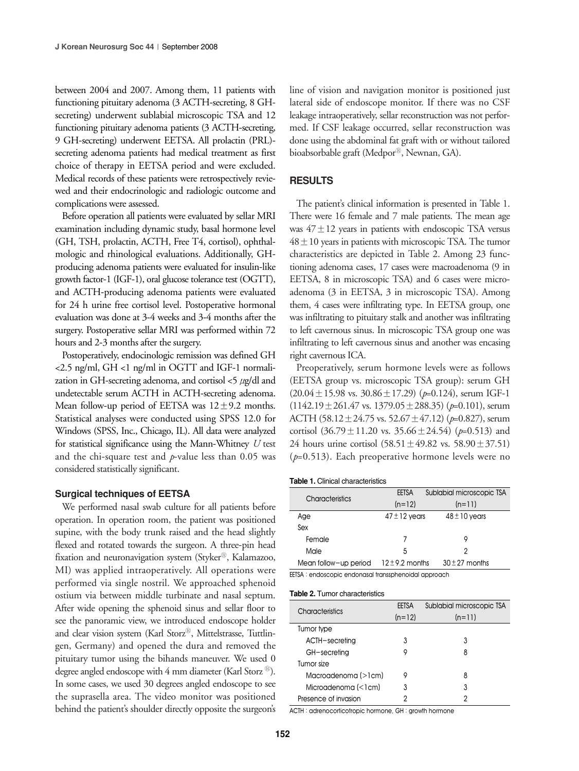between 2004 and 2007. Among them, 11 patients with functioning pituitary adenoma (3 ACTH-secreting, 8 GHsecreting) underwent sublabial microscopic TSA and 12 functioning pituitary adenoma patients (3 ACTH-secreting, 9 GH-secreting) underwent EETSA. All prolactin (PRL) secreting adenoma patients had medical treatment as first choice of therapy in EETSA period and were excluded. Medical records of these patients were retrospectively reviewed and their endocrinologic and radiologic outcome and complications were assessed.

Before operation all patients were evaluated by sellar MRI examination including dynamic study, basal hormone level (GH, TSH, prolactin, ACTH, Free T4, cortisol), ophthalmologic and rhinological evaluations. Additionally, GHproducing adenoma patients were evaluated for insulin-like growth factor-1 (IGF-1), oral glucose tolerance test (OGTT), and ACTH-producing adenoma patients were evaluated for 24 h urine free cortisol level. Postoperative hormonal evaluation was done at 3-4 weeks and 3-4 months after the surgery. Postoperative sellar MRI was performed within 72 hours and 2-3 months after the surgery.

Postoperatively, endocinologic remission was defined GH <2.5 ng/ml, GH <1 ng/ml in OGTT and IGF-1 normalization in GH-secreting adenoma, and cortisol  $\langle 5 \mu g/dl$  and undetectable serum ACTH in ACTH-secreting adenoma. Mean follow-up period of EETSA was  $12 \pm 9.2$  months. Statistical analyses were conducted using SPSS 12.0 for Windows (SPSS, Inc., Chicago, IL). All data were analyzed for statistical significance using the Mann-Whitney *U* test and the chi-square test and *p*-value less than 0.05 was considered statistically significant.

#### **Surgical techniques of EETSA**

We performed nasal swab culture for all patients before operation. In operation room, the patient was positioned supine, with the body trunk raised and the head slightly flexed and rotated towards the surgeon. A three-pin head fixation and neuronavigation system (Styker®, Kalamazoo, MI) was applied intraoperatively. All operations were performed via single nostril. We approached sphenoid ostium via between middle turbinate and nasal septum. After wide opening the sphenoid sinus and sellar floor to see the panoramic view, we introduced endoscope holder and clear vision system (Karl Storz®, Mittelstrasse, Tuttlingen, Germany) and opened the dura and removed the pituitary tumor using the bihands maneuver. We used 0 degree angled endoscope with 4 mm diameter (Karl Storz  $\mathbb{B}$ ). In some cases, we used 30 degrees angled endoscope to see the suprasella area. The video monitor was positioned behind the patient's shoulder directly opposite the surgeon's line of vision and navigation monitor is positioned just lateral side of endoscope monitor. If there was no CSF leakage intraoperatively, sellar reconstruction was not performed. If CSF leakage occurred, sellar reconstruction was done using the abdominal fat graft with or without tailored bioabsorbable graft (Medpor<sup>®</sup>, Newnan, GA).

#### **RESULTS**

The patient's clinical information is presented in Table 1. There were 16 female and 7 male patients. The mean age was  $47 \pm 12$  years in patients with endoscopic TSA versus  $48 \pm 10$  years in patients with microscopic TSA. The tumor characteristics are depicted in Table 2. Among 23 functioning adenoma cases, 17 cases were macroadenoma (9 in EETSA, 8 in microscopic TSA) and 6 cases were microadenoma (3 in EETSA, 3 in microscopic TSA). Among them, 4 cases were infiltrating type. In EETSA group, one was infiltrating to pituitary stalk and another was infiltrating to left cavernous sinus. In microscopic TSA group one was infiltrating to left cavernous sinus and another was encasing right cavernous ICA.

Preoperatively, serum hormone levels were as follows (EETSA group vs. microscopic TSA group): serum GH  $(20.04 \pm 15.98 \text{ vs. } 30.86 \pm 17.29)$  ( $p=0.124$ ), serum IGF-1 (1142.19±261.47 vs. 1379.05±288.35) (*p*=0.101), serum ACTH (58.12±24.75 vs. 52.67±47.12) (*p*=0.827), serum cortisol  $(36.79 \pm 11.20 \text{ vs. } 35.66 \pm 24.54)$  ( $p=0.513$ ) and 24 hours urine cortisol  $(58.51 \pm 49.82 \text{ vs. } 58.90 \pm 37.51)$ (*p*=0.513). Each preoperative hormone levels were no

**Table 1.** Clinical characteristics

|                       | Sublabial microscopic TSA<br>EETSA |                    |  |
|-----------------------|------------------------------------|--------------------|--|
| Characteristics       | $(n=12)$                           | $(n=11)$           |  |
| Age                   | $47 \pm 12$ years                  | $48 \pm 10$ years  |  |
| Sex                   |                                    |                    |  |
| Female                |                                    | 9                  |  |
| Male                  | 5                                  | 2                  |  |
| Mean follow-up period | $12 \pm 9.2$ months                | $30 \pm 27$ months |  |
|                       |                                    |                    |  |

EETSA : endoscopic endonasal transsphenoidal approach

|                      | EETSA    | Sublabial microscopic TSA |  |
|----------------------|----------|---------------------------|--|
| Characteristics      | $(n=12)$ | $(n=11)$                  |  |
| Tumor type           |          |                           |  |
| ACTH-secreting       | 3        | 3                         |  |
| GH-secreting         |          | 8                         |  |
| Tumor size           |          |                           |  |
| Macroadenoma (>1cm)  | 9        | 8                         |  |
| Microadenoma (<1cm)  | 3        | 3                         |  |
| Presence of invasion |          |                           |  |

ACTH : adrenocorticotropic hormone, GH : growth hormone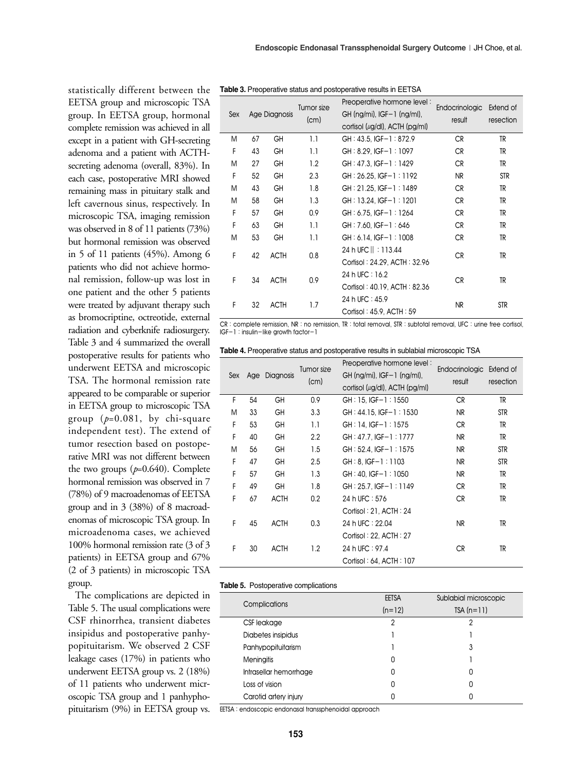**Table 3.** Preoperative status and postoperative results in EETSA

|  | Sex     |    | Age Diagnosis | Tumor size<br>(cm)       | Preoperative hormone level:<br>GH (ng/mi), $ GF-1$ (ng/ml),<br>cortisol $(\mu g/d)$ , ACTH $(pg/ml)$ | Endocrinologic<br>result | Extend of<br>resection |
|--|---------|----|---------------|--------------------------|------------------------------------------------------------------------------------------------------|--------------------------|------------------------|
|  | Μ       | 67 | GH            | 1.1                      | $GH: 43.5$ , IGF-1:872.9                                                                             | <b>CR</b>                | TR                     |
|  | F       | 43 | GH            | 1.1                      | $GH: 8.29. IGF-1: 1097$                                                                              | <b>CR</b>                | TR                     |
|  | M       | 27 | GH            | 1.2                      | $GH: 47.3$ , $IGF-1: 1429$                                                                           | <b>CR</b>                | TR                     |
|  | F       | 52 | GH            | 2.3                      | GH: 26.25, IGF-1: 1192                                                                               | NR                       | <b>STR</b>             |
|  | M       | 43 | GH            | 1.8                      | GH: 21.25, IGF-1: 1489                                                                               | <b>CR</b>                | TR                     |
|  | M       | 58 | GH            | 1.3                      | GH: 13.24, IGF-1: 1201                                                                               | <b>CR</b>                | TR                     |
|  | F       | 57 | GH            | 0.9                      | GH: 6.75, IGF-1: 1264                                                                                | <b>CR</b>                | TR                     |
|  | F       | 63 | GH            | 1.1                      | GH: 7.60, IGF-1: 646                                                                                 | <b>CR</b>                | TR                     |
|  | M       | 53 | GH            | 1.1                      | GH: 6.14, IGF-1: 1008                                                                                | <b>CR</b>                | TR                     |
|  | F       | 42 | <b>ACTH</b>   | 0.8                      | 24 h UFC   : 113.44<br>Cortisol: 24.29, ACTH: 32.96                                                  | <b>CR</b>                | TR                     |
|  | F<br>34 |    | <b>ACTH</b>   | 0.9                      | 24 h UFC : 16.2                                                                                      | <b>CR</b>                | TR                     |
|  |         |    |               |                          | Cortisol: 40.19, ACTH: 82.36                                                                         |                          |                        |
|  | F       | 32 | <b>ACTH</b>   | 1.7                      | 24 h UFC : 45.9                                                                                      | <b>NR</b>                | <b>STR</b>             |
|  |         |    |               | Cortisol: 45.9, ACTH: 59 |                                                                                                      |                          |                        |

CR : complete remission, NR : no remission, TR : total removal, STR : subtotal removal, UFC : urine free cortisol, IGF-1 : insulin-like growth factor-1

**Table 4.** Preoperative status and postoperative results in sublabial microscopic TSA

| Sex |    | Age Diagnosis | Tumor size<br>(cm) | Preoperative hormone level:<br>$GH (ng/ml)$ , $IGF-1 (ng/ml)$ ,<br>cortisol ( $\mu$ g/dl), ACTH (pg/ml) | Endocrinologic Extend of<br>result | resection  |
|-----|----|---------------|--------------------|---------------------------------------------------------------------------------------------------------|------------------------------------|------------|
| F   | 54 | GH            | 0.9                | $GH: 15. IGF-1: 1550$                                                                                   | <b>CR</b>                          | TR         |
| M   | 33 | GH            | 3.3                | $CH: 44.15, IGF-1: 1530$                                                                                | NR                                 | <b>STR</b> |
| F   | 53 | GΗ            | 1.1                | $GH:14.IGF-1:1575$                                                                                      | <b>CR</b>                          | TR         |
| F   | 40 | GH            | 2.2                | $GH: 47.7.$ IGF-1: 1777                                                                                 | NR                                 | TR         |
| M   | 56 | GH            | 1.5                | $GH: 52.4, IGF-1: 1575$                                                                                 | NR                                 | <b>STR</b> |
| F   | 47 | GΗ            | 2.5                | $GH: 8. IGF-1: 1103$                                                                                    | NR                                 | <b>STR</b> |
| F   | 57 | GΗ            | 1.3                | $GH: 40. IGF-1: 1050$                                                                                   | NR                                 | TR         |
| F   | 49 | GΗ            | 1.8                | $GH: 25.7. IGF-1: 1149$                                                                                 | <b>CR</b>                          | TR         |
| F   | 67 | <b>ACTH</b>   | 0.2                | 24 h UFC: 576                                                                                           | <b>CR</b>                          | TR         |
|     |    |               |                    | Cortisol: 21, ACTH: 24                                                                                  |                                    |            |
| F   | 45 | <b>ACTH</b>   | 0.3                | 24 h UFC: 22.04                                                                                         | NR                                 | TR         |
|     |    |               |                    | Cortisol: 22, ACTH: 27                                                                                  |                                    |            |
| F   | 30 | <b>ACTH</b>   | 1.2                | 24 h UFC : 97.4                                                                                         | <b>CR</b>                          | TR         |
|     |    |               |                    | Cortisol: 64, ACTH: 107                                                                                 |                                    |            |

#### **Table 5.** Postoperative complications

| <b>Complications</b>   | <b>EETSA</b><br>Sublabial microscopic |             |
|------------------------|---------------------------------------|-------------|
|                        | $(n=12)$                              | $TSA(n=11)$ |
| CSF leakage            | 2                                     | 2           |
| Diabetes insipidus     |                                       |             |
| Panhypopituitarism     |                                       | 3           |
| <b>Meningitis</b>      | 0                                     |             |
| Intrasellar hemorrhage | 0                                     | Ω           |
| Loss of vision         | 0                                     | Ω           |
| Carotid artery injury  | 0                                     | n           |

EETSA : endoscopic endonasal transsphenoidal approach

secreting adenoma (overall, 83%). In each case, postoperative MRI showed remaining mass in pituitary stalk and left cavernous sinus, respectively. In microscopic TSA, imaging remission was observed in 8 of 11 patients (73%) but hormonal remission was observed in 5 of 11 patients (45%). Among 6 patients who did not achieve hormonal remission, follow-up was lost in one patient and the other 5 patients were treated by adjuvant therapy such as bromocriptine, octreotide, external radiation and cyberknife radiosurgery. Table 3 and 4 summarized the overall postoperative results for patients who underwent EETSA and microscopic TSA. The hormonal remission rate appeared to be comparable or superior in EETSA group to microscopic TSA group (*p*=0.081, by chi-square independent test). The extend of tumor resection based on postoperative MRI was not different between the two groups (*p*=0.640). Complete hormonal remission was observed in 7 (78%) of 9 macroadenomas of EETSA group and in 3 (38%) of 8 macroadenomas of microscopic TSA group. In microadenoma cases, we achieved 100% hormonal remission rate (3 of 3 patients) in EETSA group and 67% (2 of 3 patients) in microscopic TSA

statistically different between the EETSA group and microscopic TSA group. In EETSA group, hormonal complete remission was achieved in all except in a patient with GH-secreting adenoma and a patient with ACTH-

The complications are depicted in Table 5. The usual complications were CSF rhinorrhea, transient diabetes insipidus and postoperative panhypopituitarism. We observed 2 CSF leakage cases (17%) in patients who underwent EETSA group vs. 2 (18%) of 11 patients who underwent microscopic TSA group and 1 panhyphopituitarism (9%) in EETSA group vs.

group.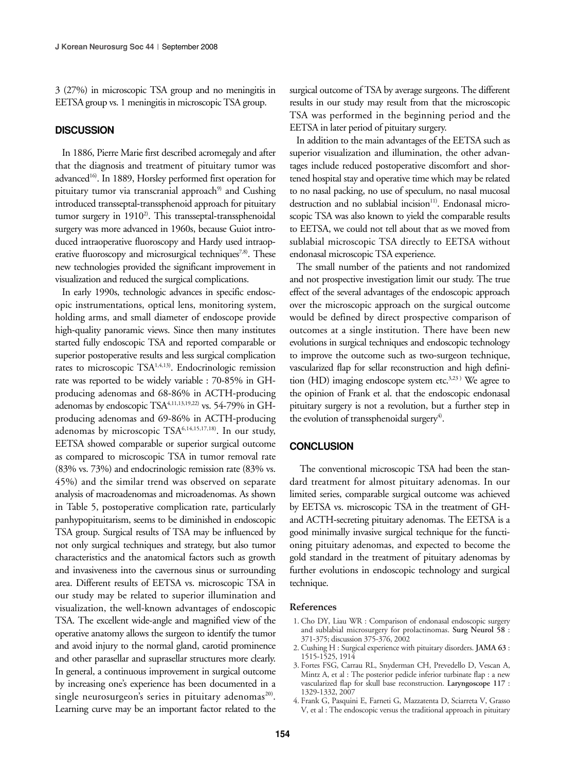3 (27%) in microscopic TSA group and no meningitis in EETSA group vs. 1 meningitis in microscopic TSA group.

#### **DISCUSSION**

In 1886, Pierre Marie first described acromegaly and after that the diagnosis and treatment of pituitary tumor was advanced<sup>16</sup>. In 1889, Horsley performed first operation for pituitary tumor via transcranial approach $9$  and Cushing introduced transseptal-transsphenoid approach for pituitary tumor surgery in  $1910<sup>2</sup>$ . This transseptal-transsphenoidal surgery was more advanced in 1960s, because Guiot introduced intraoperative fluoroscopy and Hardy used intraoperative fluoroscopy and microsurgical techniques<sup>7,8)</sup>. These new technologies provided the significant improvement in visualization and reduced the surgical complications.

In early 1990s, technologic advances in specific endoscopic instrumentations, optical lens, monitoring system, holding arms, and small diameter of endoscope provide high-quality panoramic views. Since then many institutes started fully endoscopic TSA and reported comparable or superior postoperative results and less surgical complication rates to microscopic  $TSA^{1,4,13)}$ . Endocrinologic remission rate was reported to be widely variable : 70-85% in GHproducing adenomas and 68-86% in ACTH-producing adenomas by endoscopic TSA<sup>4,11,13,19,22)</sup> vs. 54-79% in GHproducing adenomas and 69-86% in ACTH-producing adenomas by microscopic TSA6,14,15,17,18). In our study, EETSA showed comparable or superior surgical outcome as compared to microscopic TSA in tumor removal rate (83% vs. 73%) and endocrinologic remission rate (83% vs. 45%) and the similar trend was observed on separate analysis of macroadenomas and microadenomas. As shown in Table 5, postoperative complication rate, particularly panhypopituitarism, seems to be diminished in endoscopic TSA group. Surgical results of TSA may be influenced by not only surgical techniques and strategy, but also tumor characteristics and the anatomical factors such as growth and invasiveness into the cavernous sinus or surrounding area. Different results of EETSA vs. microscopic TSA in our study may be related to superior illumination and visualization, the well-known advantages of endoscopic TSA. The excellent wide-angle and magnified view of the operative anatomy allows the surgeon to identify the tumor and avoid injury to the normal gland, carotid prominence and other parasellar and suprasellar structures more clearly. In general, a continuous improvement in surgical outcome by increasing one's experience has been documented in a single neurosurgeon's series in pituitary adenomas<sup>20)</sup>. Learning curve may be an important factor related to the

surgical outcome of TSA by average surgeons. The different results in our study may result from that the microscopic TSA was performed in the beginning period and the EETSA in later period of pituitary surgery.

In addition to the main advantages of the EETSA such as superior visualization and illumination, the other advantages include reduced postoperative discomfort and shortened hospital stay and operative time which may be related to no nasal packing, no use of speculum, no nasal mucosal destruction and no sublabial incision<sup>11)</sup>. Endonasal microscopic TSA was also known to yield the comparable results to EETSA, we could not tell about that as we moved from sublabial microscopic TSA directly to EETSA without endonasal microscopic TSA experience.

The small number of the patients and not randomized and not prospective investigation limit our study. The true effect of the several advantages of the endoscopic approach over the microscopic approach on the surgical outcome would be defined by direct prospective comparison of outcomes at a single institution. There have been new evolutions in surgical techniques and endoscopic technology to improve the outcome such as two-surgeon technique, vascularized flap for sellar reconstruction and high definition (HD) imaging endoscope system etc. $3,23$ ) We agree to the opinion of Frank et al. that the endoscopic endonasal pituitary surgery is not a revolution, but a further step in the evolution of transsphenoidal surgery<sup>4)</sup>.

#### **CONCLUSION**

The conventional microscopic TSA had been the standard treatment for almost pituitary adenomas. In our limited series, comparable surgical outcome was achieved by EETSA vs. microscopic TSA in the treatment of GHand ACTH-secreting pituitary adenomas. The EETSA is a good minimally invasive surgical technique for the functioning pituitary adenomas, and expected to become the gold standard in the treatment of pituitary adenomas by further evolutions in endoscopic technology and surgical technique.

#### **References**

- 1. Cho DY, Liau WR : Comparison of endonasal endoscopic surgery and sublabial microsurgery for prolactinomas. **Surg Neurol 58** : 371-375; discussion 375-376, 2002
- 2. Cushing H : Surgical experience with pituitary disorders. **JAMA 63** : 1515-1525, 1914
- 3. Fortes FSG, Carrau RL, Snyderman CH, Prevedello D, Vescan A, Mintz A, et al : The posterior pedicle inferior turbinate flap : a new vascularized flap for skull base reconstruction. **Laryngoscope 117** : 1329-1332, 2007
- 4. Frank G, Pasquini E, Farneti G, Mazzatenta D, Sciarreta V, Grasso V, et al : The endoscopic versus the traditional approach in pituitary